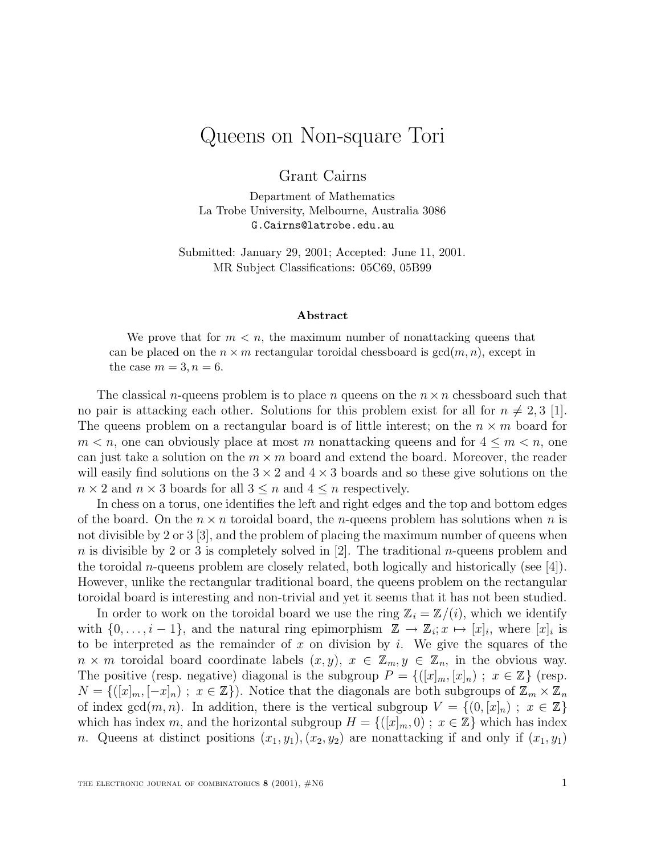## Queens on Non-square Tori

Grant Cairns

Department of Mathematics La Trobe University, Melbourne, Australia 3086 G.Cairns@latrobe.edu.au

Submitted: January 29, 2001; Accepted: June 11, 2001. MR Subject Classifications: 05C69, 05B99

## **Abstract**

We prove that for  $m < n$ , the maximum number of nonattacking queens that can be placed on the  $n \times m$  rectangular toroidal chessboard is  $gcd(m, n)$ , except in the case  $m = 3, n = 6$ .

The classical *n*-queens problem is to place *n* queens on the  $n \times n$  chessboard such that no pair is attacking each other. Solutions for this problem exist for all for  $n \neq 2, 3$  [1]. The queens problem on a rectangular board is of little interest; on the  $n \times m$  board for  $m < n$ , one can obviously place at most m nonattacking queens and for  $4 \leq m < n$ , one can just take a solution on the  $m \times m$  board and extend the board. Moreover, the reader will easily find solutions on the  $3 \times 2$  and  $4 \times 3$  boards and so these give solutions on the  $n \times 2$  and  $n \times 3$  boards for all  $3 \leq n$  and  $4 \leq n$  respectively.

In chess on a torus, one identifies the left and right edges and the top and bottom edges of the board. On the  $n \times n$  toroidal board, the *n*-queens problem has solutions when *n* is not divisible by 2 or 3 [3], and the problem of placing the maximum number of queens when n is divisible by 2 or 3 is completely solved in  $[2]$ . The traditional n-queens problem and the toroidal *n*-queens problem are closely related, both logically and historically (see  $[4]$ ). However, unlike the rectangular traditional board, the queens problem on the rectangular toroidal board is interesting and non-trivial and yet it seems that it has not been studied.

In order to work on the toroidal board we use the ring  $\mathbb{Z}_i = \mathbb{Z}/(i)$ , which we identify with  $\{0,\ldots,i-1\}$ , and the natural ring epimorphism  $\mathbb{Z} \to \mathbb{Z}_i; x \mapsto [x]_i$ , where  $[x]_i$  is to be interpreted as the remainder of x on division by i. We give the squares of the  $n \times m$  toroidal board coordinate labels  $(x, y), x \in \mathbb{Z}_m, y \in \mathbb{Z}_n$ , in the obvious way. The positive (resp. negative) diagonal is the subgroup  $P = \{([x]_m, [x]_n) ; x \in \mathbb{Z}\}\)$  (resp.  $N = \{([x]_m, [-x]_n) ; x \in \mathbb{Z}\}\)$ . Notice that the diagonals are both subgroups of  $\mathbb{Z}_m \times \mathbb{Z}_n$ of index gcd $(m, n)$ . In addition, there is the vertical subgroup  $V = \{(0, [x]_n) ; x \in \mathbb{Z}\}\$ which has index m, and the horizontal subgroup  $H = \{([x]_m, 0) : x \in \mathbb{Z}\}\$  which has index n. Queens at distinct positions  $(x_1, y_1), (x_2, y_2)$  are nonattacking if and only if  $(x_1, y_1)$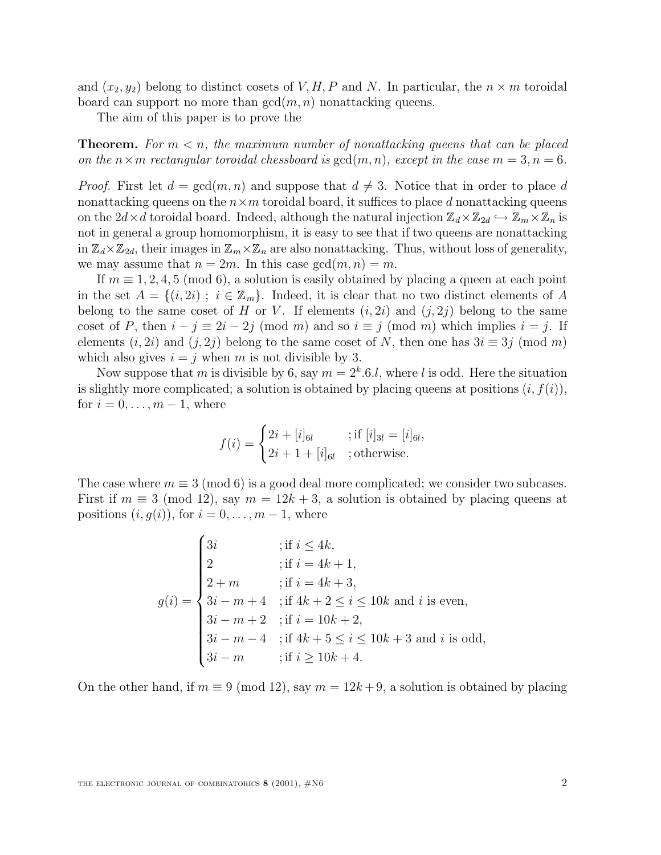and  $(x_2, y_2)$  belong to distinct cosets of V, H, P and N. In particular, the  $n \times m$  toroidal board can support no more than  $gcd(m, n)$  nonattacking queens.

The aim of this paper is to prove the

**Theorem.** For  $m < n$ , the maximum number of nonattacking queens that can be placed on the  $n \times m$  rectangular toroidal chessboard is  $gcd(m, n)$ , except in the case  $m = 3, n = 6$ .

*Proof.* First let  $d = \gcd(m, n)$  and suppose that  $d \neq 3$ . Notice that in order to place d nonattacking queens on the  $n \times m$  toroidal board, it suffices to place d nonattacking queens on the  $2d\times d$  toroidal board. Indeed, although the natural injection  $\mathbb{Z}_d\times\mathbb{Z}_{2d}\hookrightarrow \mathbb{Z}_m\times\mathbb{Z}_n$  is not in general a group homomorphism, it is easy to see that if two queens are nonattacking in  $\mathbb{Z}_d\times\mathbb{Z}_{2d}$ , their images in  $\mathbb{Z}_m\times\mathbb{Z}_n$  are also nonattacking. Thus, without loss of generality, we may assume that  $n = 2m$ . In this case  $gcd(m, n) = m$ .

If  $m \equiv 1, 2, 4, 5 \pmod{6}$ , a solution is easily obtained by placing a queen at each point in the set  $A = \{(i, 2i) ; i \in \mathbb{Z}_m\}$ . Indeed, it is clear that no two distinct elements of A belong to the same coset of H or V. If elements  $(i, 2i)$  and  $(j, 2j)$  belong to the same coset of P, then  $i - j \equiv 2i - 2j \pmod{m}$  and so  $i \equiv j \pmod{m}$  which implies  $i = j$ . If elements  $(i, 2i)$  and  $(j, 2j)$  belong to the same coset of N, then one has  $3i \equiv 3j \pmod{m}$ which also gives  $i = j$  when m is not divisible by 3.

Now suppose that m is divisible by 6, say  $m = 2<sup>k</sup>$ .6.*l*, where *l* is odd. Here the situation is slightly more complicated; a solution is obtained by placing queens at positions  $(i, f(i))$ , for  $i = 0, \ldots, m-1$ , where

$$
f(i) = \begin{cases} 2i + [i]_{6l} & ; \text{if } [i]_{3l} = [i]_{6l}, \\ 2i + 1 + [i]_{6l} & ; \text{otherwise.} \end{cases}
$$

The case where  $m \equiv 3 \pmod{6}$  is a good deal more complicated; we consider two subcases. First if  $m \equiv 3 \pmod{12}$ , say  $m = 12k + 3$ , a solution is obtained by placing queens at positions  $(i, g(i))$ , for  $i = 0, \ldots, m-1$ , where

$$
g(i) = \begin{cases} 3i &; \text{if } i \le 4k, \\ 2 &; \text{if } i = 4k + 1, \\ 2 + m &; \text{if } i = 4k + 3, \\ 3i - m + 4 &; \text{if } 4k + 2 \le i \le 10k \text{ and } i \text{ is even,} \\ 3i - m + 2 &; \text{if } i = 10k + 2, \\ 3i - m - 4 &; \text{if } 4k + 5 \le i \le 10k + 3 \text{ and } i \text{ is odd,} \\ 3i - m &; \text{if } i \ge 10k + 4. \end{cases}
$$

On the other hand, if  $m \equiv 9 \pmod{12}$ , say  $m = 12k + 9$ , a solution is obtained by placing